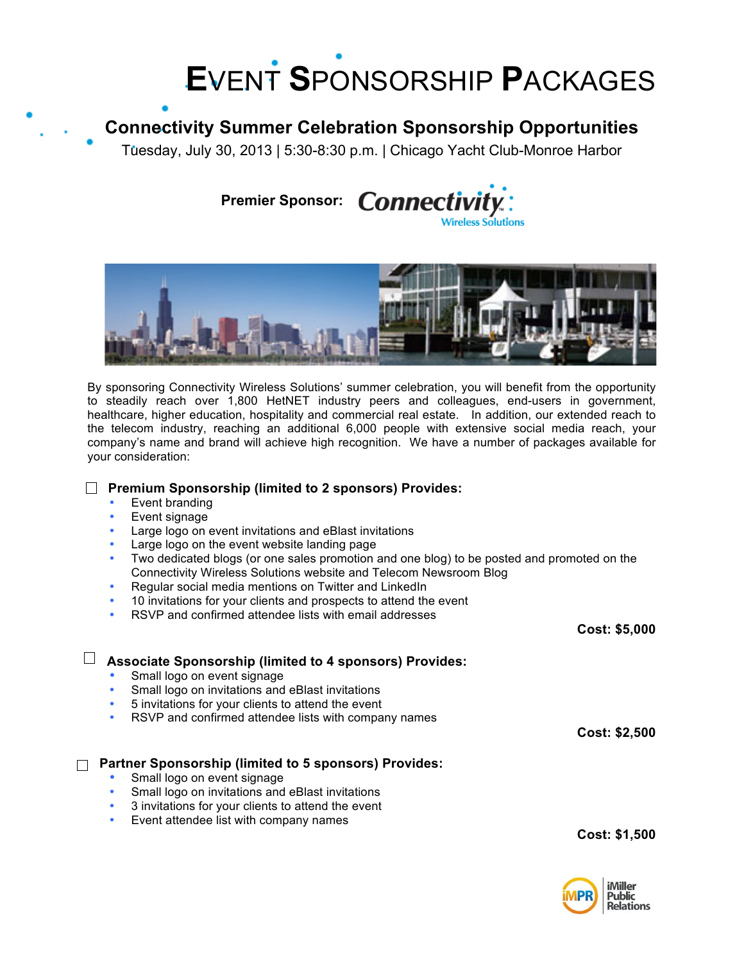# **E**VENT **S**PONSORSHIP **P**ACKAGES

## **Connectivity Summer Celebration Sponsorship Opportunities**

Tuesday, July 30, 2013 | 5:30-8:30 p.m. | Chicago Yacht Club-Monroe Harbor

Premier Sponsor: **Connectivi Nireless Solutions** 



By sponsoring Connectivity Wireless Solutions' summer celebration, you will benefit from the opportunity to steadily reach over 1,800 HetNET industry peers and colleagues, end-users in government, healthcare, higher education, hospitality and commercial real estate. In addition, our extended reach to the telecom industry, reaching an additional 6,000 people with extensive social media reach, your company's name and brand will achieve high recognition. We have a number of packages available for your consideration:

#### **Premium Sponsorship (limited to 2 sponsors) Provides:**

- Event branding
- Event signage
- Large logo on event invitations and eBlast invitations
- Large logo on the event website landing page
- Two dedicated blogs (or one sales promotion and one blog) to be posted and promoted on the Connectivity Wireless Solutions website and Telecom Newsroom Blog
- Regular social media mentions on Twitter and LinkedIn
- 10 invitations for your clients and prospects to attend the event
- RSVP and confirmed attendee lists with email addresses

| Cost: \$5,000        |
|----------------------|
|                      |
|                      |
|                      |
|                      |
|                      |
| Cost: \$2,500        |
|                      |
|                      |
|                      |
|                      |
|                      |
| <b>Cost: \$1,500</b> |
|                      |
|                      |